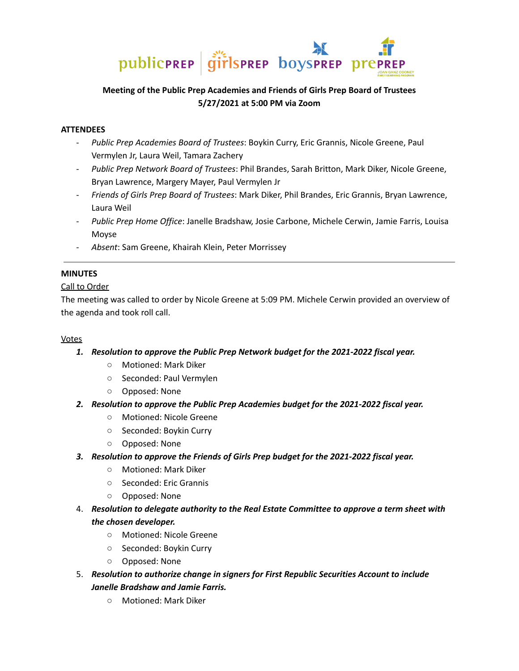

# **Meeting of the Public Prep Academies and Friends of Girls Prep Board of Trustees 5/27/2021 at 5:00 PM via Zoom**

#### **ATTENDEES**

- *Public Prep Academies Board of Trustees*: Boykin Curry, Eric Grannis, Nicole Greene, Paul Vermylen Jr, Laura Weil, Tamara Zachery
- *Public Prep Network Board of Trustees*: Phil Brandes, Sarah Britton, Mark Diker, Nicole Greene, Bryan Lawrence, Margery Mayer, Paul Vermylen Jr
- *Friends of Girls Prep Board of Trustees*: Mark Diker, Phil Brandes, Eric Grannis, Bryan Lawrence, Laura Weil
- *Public Prep Home Office*: Janelle Bradshaw, Josie Carbone, Michele Cerwin, Jamie Farris, Louisa Moyse
- *Absent*: Sam Greene, Khairah Klein, Peter Morrissey

# **MINUTES**

# Call to Order

The meeting was called to order by Nicole Greene at 5:09 PM. Michele Cerwin provided an overview of the agenda and took roll call.

#### Votes

- *1. Resolution to approve the Public Prep Network budget for the 2021-2022 fiscal year.*
	- Motioned: Mark Diker
	- Seconded: Paul Vermylen
	- Opposed: None
- *2. Resolution to approve the Public Prep Academies budget for the 2021-2022 fiscal year.*
	- Motioned: Nicole Greene
	- Seconded: Boykin Curry
	- Opposed: None
- *3. Resolution to approve the Friends of Girls Prep budget for the 2021-2022 fiscal year.*
	- Motioned: Mark Diker
	- Seconded: Eric Grannis
	- Opposed: None
- 4. *Resolution to delegate authority to the Real Estate Committee to approve a term sheet with the chosen developer.*
	- Motioned: Nicole Greene
	- Seconded: Boykin Curry
	- Opposed: None
- 5. *Resolution to authorize change in signers for First Republic Securities Account to include Janelle Bradshaw and Jamie Farris.*
	- Motioned: Mark Diker